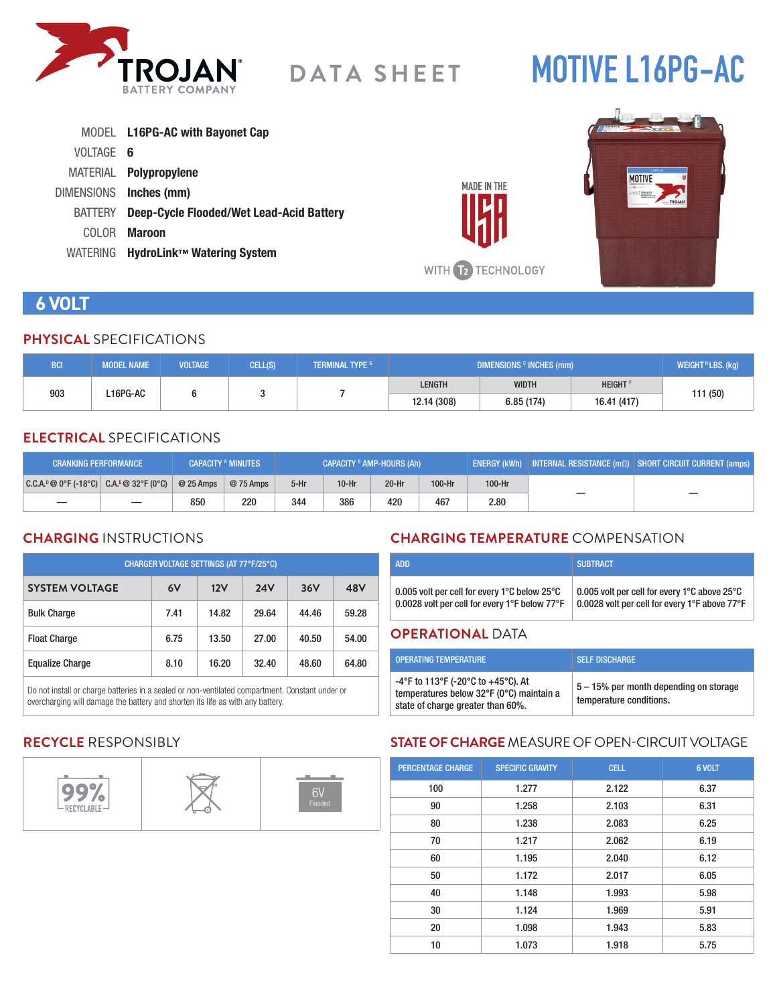

# **MOTIVE L16PG-AC**

|           | MODEL L16PG-AC with Bayonet Cap                 |
|-----------|-------------------------------------------------|
| VOLTAGE 6 |                                                 |
|           | MATERIAL Polypropylene                          |
|           | DIMENSIONS Inches (mm)                          |
| BATTERY   | <b>Deep-Cycle Flooded/Wet Lead-Acid Battery</b> |
| COLOR.    | Maroon                                          |
| WATERING  | HydroLink™ Watering System                      |



**MADE IN THE** 

# **6 VOLT**

#### **PHYSICAL** SPECIFICATIONS

| <b>BCI</b>      | <b>MODEL NAME</b> | <b>VOLTAGE</b> | CELL(S) | <b>TERMINAL TYPE G</b> | DIMENSIONS <sup>c</sup> INCHES (mm) |                            |             | WEIGHT <sup>H</sup> LBS. (kg) |
|-----------------|-------------------|----------------|---------|------------------------|-------------------------------------|----------------------------|-------------|-------------------------------|
| 903<br>L16PG-AC |                   |                |         | <b>LENGTH</b>          | <b>WIDTH</b>                        | <b>HEIGHT</b> <sup>P</sup> |             |                               |
|                 |                   |                |         |                        | 12.14 (308)                         | 6.85 (174)                 | 16.41 (417) | 111 (50)                      |

## **ELECTRICAL** SPECIFICATIONS

| <b>CRANKING PERFORMANCE</b>               |            | <b>CAPACITY A MINUTES</b> | CAPACITY <sup>B</sup> AMP-HOURS (Ah) |         |         | ENERGY (kWh)   INTERNAL RESISTANCE (mΩ)   SHORT CIRCUIT CURRENT (amps) |        |  |
|-------------------------------------------|------------|---------------------------|--------------------------------------|---------|---------|------------------------------------------------------------------------|--------|--|
| $ C.C.A.^0@0°F(-18°C)  C.A.^E@32°F(0°C) $ | $@25$ Amps | @ 75 Amps                 | $5-Hr$                               | $10-Hr$ | $20-Hr$ | 100-Hr                                                                 | 100-Hr |  |
|                                           | 850        | 220                       | 344                                  | 386     | 420     | 467                                                                    | 2.80   |  |

### **CHARGING** INSTRUCTIONS

| CHARGER VOLTAGE SETTINGS (AT 77°F/25°C) |      |       |            |       |       |  |  |
|-----------------------------------------|------|-------|------------|-------|-------|--|--|
| <b>SYSTEM VOLTAGE</b>                   | 6V   | 12V   | <b>24V</b> | 36V   | 48V   |  |  |
| <b>Bulk Charge</b>                      | 7.41 | 14.82 | 29.64      | 44.46 | 59.28 |  |  |
| <b>Float Charge</b>                     | 6.75 | 13.50 | 27.00      | 40.50 | 54.00 |  |  |
| <b>Equalize Charge</b>                  | 8.10 | 16.20 | 32.40      | 48.60 | 64.80 |  |  |

Do not install or charge batteries in a sealed or non-ventilated compartment. Constant under or overcharging will damage the battery and shorten its life as with any battery.

# **CHARGING TEMPERATURE** COMPENSATION

| 0.005 volt per cell for every 1°C below 25°C  | 0.005 volt per cell for every 1°C above 25°C  |
|-----------------------------------------------|-----------------------------------------------|
| 0.0028 volt per cell for every 1°F below 77°F | 0.0028 volt per cell for every 1°F above 77°F |

#### **OPERATIONAL** DATA

| <b>OPERATING TEMPERATURE</b>                                                                                        | <b>SELF DISCHARGE</b>                                             |
|---------------------------------------------------------------------------------------------------------------------|-------------------------------------------------------------------|
| -4°F to 113°F (-20°C to +45°C). At<br>temperatures below 32°F (0°C) maintain a<br>state of charge greater than 60%. | 5 – 15% per month depending on storage<br>temperature conditions. |

# **RECYCLE** RESPONSIBLY



# **STATE OF CHARGE** MEASURE OF OPEN-CIRCUIT VOLTAGE

| <b>PERCENTAGE CHARGE</b> | <b>SPECIFIC GRAVITY</b> | <b>CELL</b> | 6 VOLT |
|--------------------------|-------------------------|-------------|--------|
| 100                      | 1.277                   | 2.122       | 6.37   |
| 90                       | 1.258                   | 2.103       | 6.31   |
| 80                       | 1.238                   | 2.083       | 6.25   |
| 70                       | 1.217                   | 2.062       | 6.19   |
| 60                       | 1.195                   | 2.040       | 6.12   |
| 50                       | 1.172                   | 2.017       | 6.05   |
| 40                       | 1.148                   | 1.993       | 5.98   |
| 30                       | 1.124                   | 1.969       | 5.91   |
| 20                       | 1.098                   | 1.943       | 5.83   |
| 10                       | 1.073                   | 1.918       | 5.75   |